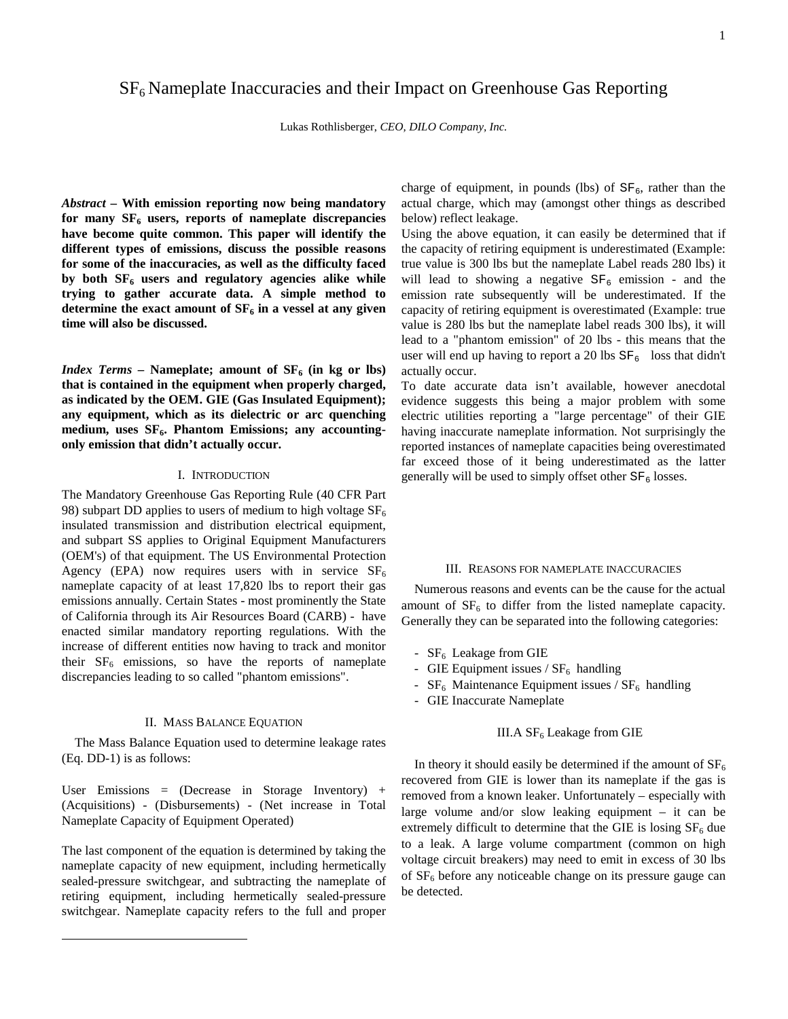# $SF<sub>6</sub>$  Nameplate Inaccuracies and their Impact on Greenhouse Gas Reporting

Lukas Rothlisberger, *CEO, DILO Company, Inc.*

*Abstract –* **With emission reporting now being mandatory**  for many  $SF<sub>6</sub>$  users, reports of nameplate discrepancies **have become quite common. This paper will identify the different types of emissions, discuss the possible reasons for some of the inaccuracies, as well as the difficulty faced**  by both  $SF<sub>6</sub>$  users and regulatory agencies alike while **trying to gather accurate data. A simple method to** determine the exact amount of  $SF<sub>6</sub>$  in a vessel at any given **time will also be discussed.** 

*Index Terms –* **Nameplate; amount of**  $SF_6$  **(in kg or lbs) that is contained in the equipment when properly charged, as indicated by the OEM. GIE (Gas Insulated Equipment); any equipment, which as its dielectric or arc quenching**  medium, uses SF<sub>6</sub>. Phantom Emissions; any accounting**only emission that didn't actually occur.** 

## I. INTRODUCTION

The Mandatory Greenhouse Gas Reporting Rule (40 CFR Part 98) subpart DD applies to users of medium to high voltage  $SF_6$ insulated transmission and distribution electrical equipment, and subpart SS applies to Original Equipment Manufacturers (OEM's) of that equipment. The US Environmental Protection Agency (EPA) now requires users with in service  $SF_6$ nameplate capacity of at least 17,820 lbs to report their gas emissions annually. Certain States - most prominently the State of California through its Air Resources Board (CARB) - have enacted similar mandatory reporting regulations. With the increase of different entities now having to track and monitor their  $SF<sub>6</sub>$  emissions, so have the reports of nameplate discrepancies leading to so called "phantom emissions".

# II. MASS BALANCE EQUATION

The Mass Balance Equation used to determine leakage rates (Eq. DD-1) is as follows:

User Emissions = (Decrease in Storage Inventory) + (Acquisitions) - (Disbursements) - (Net increase in Total Nameplate Capacity of Equipment Operated)

The last component of the equation is determined by taking the nameplate capacity of new equipment, including hermetically sealed-pressure switchgear, and subtracting the nameplate of retiring equipment, including hermetically sealed-pressure switchgear. Nameplate capacity refers to the full and proper

 $\overline{a}$ 

charge of equipment, in pounds (lbs) of  $SF_6$ , rather than the actual charge, which may (amongst other things as described below) reflect leakage.

Using the above equation, it can easily be determined that if the capacity of retiring equipment is underestimated (Example: true value is 300 lbs but the nameplate Label reads 280 lbs) it will lead to showing a negative  $SF_6$  emission - and the emission rate subsequently will be underestimated. If the capacity of retiring equipment is overestimated (Example: true value is 280 lbs but the nameplate label reads 300 lbs), it will lead to a "phantom emission" of 20 lbs - this means that the user will end up having to report a 20 lbs  $SF_6$  loss that didn't actually occur.

To date accurate data isn't available, however anecdotal evidence suggests this being a major problem with some electric utilities reporting a "large percentage" of their GIE having inaccurate nameplate information. Not surprisingly the reported instances of nameplate capacities being overestimated far exceed those of it being underestimated as the latter generally will be used to simply offset other  $SF_6$  losses.

## III. REASONS FOR NAMEPLATE INACCURACIES

Numerous reasons and events can be the cause for the actual amount of  $SF<sub>6</sub>$  to differ from the listed nameplate capacity. Generally they can be separated into the following categories:

- $SF<sub>6</sub>$  Leakage from GIE
- GIE Equipment issues  $/$  SF<sub>6</sub> handling
- $SF<sub>6</sub>$  Maintenance Equipment issues /  $SF<sub>6</sub>$  handling
- GIE Inaccurate Nameplate

# III.A  $SF<sub>6</sub>$  Leakage from GIE

In theory it should easily be determined if the amount of  $SF<sub>6</sub>$ recovered from GIE is lower than its nameplate if the gas is removed from a known leaker. Unfortunately – especially with large volume and/or slow leaking equipment – it can be extremely difficult to determine that the GIE is losing  $SF<sub>6</sub>$  due to a leak. A large volume compartment (common on high voltage circuit breakers) may need to emit in excess of 30 lbs of  $SF<sub>6</sub>$  before any noticeable change on its pressure gauge can be detected.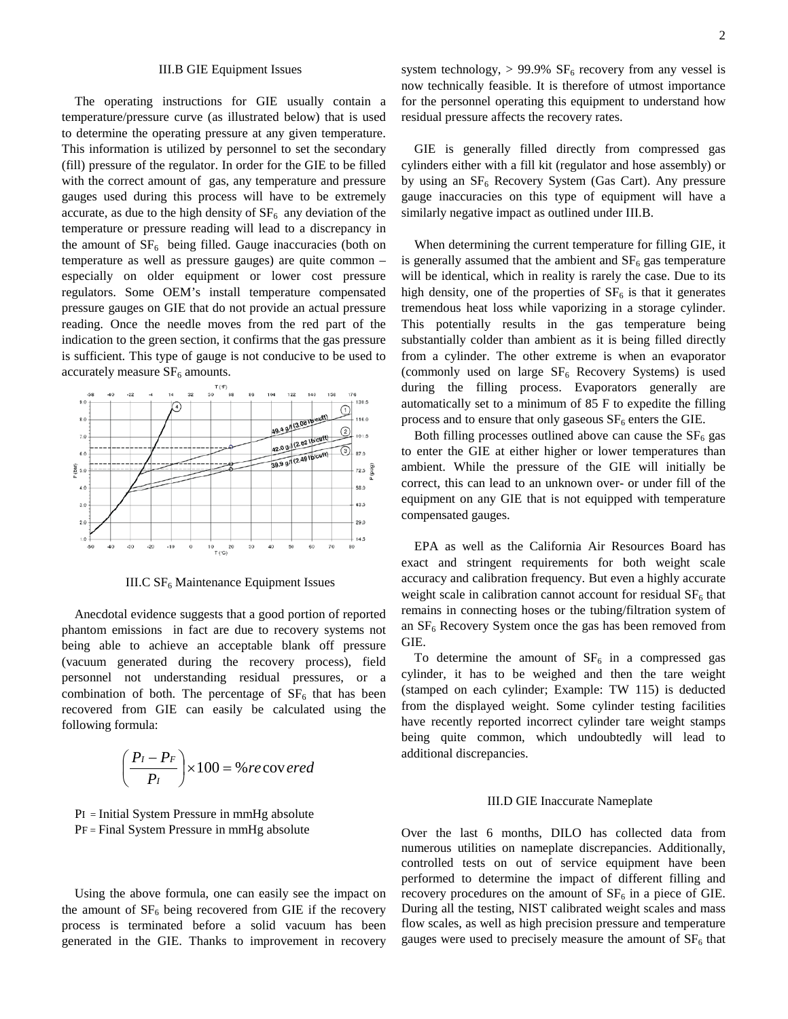### III.B GIE Equipment Issues

The operating instructions for GIE usually contain a temperature/pressure curve (as illustrated below) that is used to determine the operating pressure at any given temperature. This information is utilized by personnel to set the secondary (fill) pressure of the regulator. In order for the GIE to be filled with the correct amount of gas, any temperature and pressure gauges used during this process will have to be extremely accurate, as due to the high density of  $SF<sub>6</sub>$  any deviation of the temperature or pressure reading will lead to a discrepancy in the amount of  $SF_6$  being filled. Gauge inaccuracies (both on temperature as well as pressure gauges) are quite common – especially on older equipment or lower cost pressure regulators. Some OEM's install temperature compensated pressure gauges on GIE that do not provide an actual pressure reading. Once the needle moves from the red part of the indication to the green section, it confirms that the gas pressure is sufficient. This type of gauge is not conducive to be used to accurately measure  $SF<sub>6</sub>$  amounts.



III.C  $SF<sub>6</sub>$  Maintenance Equipment Issues

Anecdotal evidence suggests that a good portion of reported phantom emissions in fact are due to recovery systems not being able to achieve an acceptable blank off pressure (vacuum generated during the recovery process), field personnel not understanding residual pressures, or a combination of both. The percentage of  $SF<sub>6</sub>$  that has been recovered from GIE can easily be calculated using the following formula:

$$
\left(\frac{P_I - P_F}{P_I}\right) \times 100 = \% \, recov\,ered
$$

PI = Initial System Pressure in mmHg absolute PF = Final System Pressure in mmHg absolute

Using the above formula, one can easily see the impact on the amount of  $SF<sub>6</sub>$  being recovered from GIE if the recovery process is terminated before a solid vacuum has been generated in the GIE. Thanks to improvement in recovery system technology,  $> 99.9\%$  SF<sub>6</sub> recovery from any vessel is now technically feasible. It is therefore of utmost importance for the personnel operating this equipment to understand how residual pressure affects the recovery rates.

GIE is generally filled directly from compressed gas cylinders either with a fill kit (regulator and hose assembly) or by using an  $SF_6$  Recovery System (Gas Cart). Any pressure gauge inaccuracies on this type of equipment will have a similarly negative impact as outlined under III.B.

When determining the current temperature for filling GIE, it is generally assumed that the ambient and  $SF<sub>6</sub>$  gas temperature will be identical, which in reality is rarely the case. Due to its high density, one of the properties of  $SF<sub>6</sub>$  is that it generates tremendous heat loss while vaporizing in a storage cylinder. This potentially results in the gas temperature being substantially colder than ambient as it is being filled directly from a cylinder. The other extreme is when an evaporator (commonly used on large  $SF<sub>6</sub>$  Recovery Systems) is used during the filling process. Evaporators generally are automatically set to a minimum of 85 F to expedite the filling process and to ensure that only gaseous  $SF<sub>6</sub>$  enters the GIE.

Both filling processes outlined above can cause the  $SF<sub>6</sub>$  gas to enter the GIE at either higher or lower temperatures than ambient. While the pressure of the GIE will initially be correct, this can lead to an unknown over- or under fill of the equipment on any GIE that is not equipped with temperature compensated gauges.

EPA as well as the California Air Resources Board has exact and stringent requirements for both weight scale accuracy and calibration frequency. But even a highly accurate weight scale in calibration cannot account for residual  $SF<sub>6</sub>$  that remains in connecting hoses or the tubing/filtration system of an  $SF<sub>6</sub>$  Recovery System once the gas has been removed from GIE.

To determine the amount of  $SF<sub>6</sub>$  in a compressed gas cylinder, it has to be weighed and then the tare weight (stamped on each cylinder; Example: TW 115) is deducted from the displayed weight. Some cylinder testing facilities have recently reported incorrect cylinder tare weight stamps being quite common, which undoubtedly will lead to additional discrepancies.

## III.D GIE Inaccurate Nameplate

Over the last 6 months, DILO has collected data from numerous utilities on nameplate discrepancies. Additionally, controlled tests on out of service equipment have been performed to determine the impact of different filling and recovery procedures on the amount of  $SF<sub>6</sub>$  in a piece of GIE. During all the testing, NIST calibrated weight scales and mass flow scales, as well as high precision pressure and temperature gauges were used to precisely measure the amount of  $SF<sub>6</sub>$  that